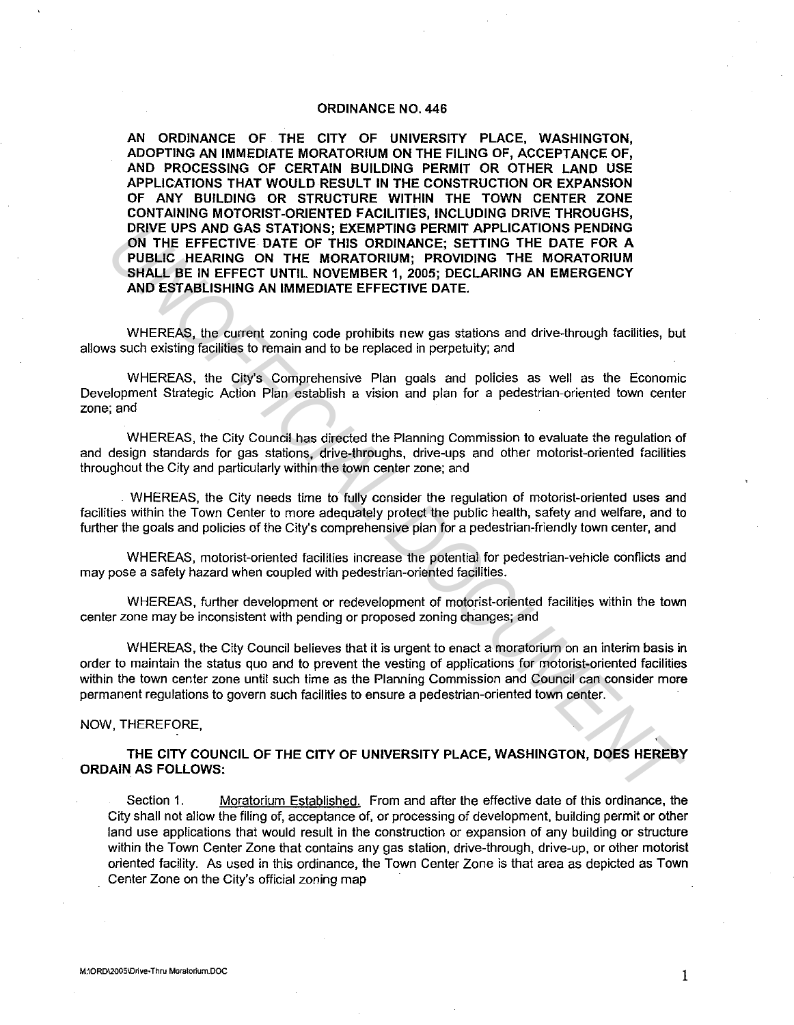## **ORDINANCE NO. 446**

**AN ORDINANCE OF THE CITY OF UNIVERSITY PLACE, WASHINGTON, ADOPTING AN IMMEDIATE MORATORIUM ON THE FILING OF, ACCEPTANCE OF, AND PROCESSING OF CERTAIN BUILDING PERMIT OR OTHER LAND USE APPLICATIONS THAT WOULD RESULT IN THE CONSTRUCTION OR EXPANSION OF ANY BUILDING OR STRUCTURE WITHIN THE TOWN CENTER ZONE CONTAINING MOTORIST-ORIENTED FACILITIES, INCLUDING DRIVE THROUGHS, DRIVE UPS AND GAS STATIONS; EXEMPTING PERMIT APPLICATIONS PENDING ON THE EFFECTIVE DATE OF THIS ORDINANCE; SETTING THE DATE FOR A PUBLIC HEARING ON THE MORATORIUM; PROVIDING THE MORATORIUM SHALL BE IN EFFECT UNTIL NOVEMBER 1, 2005; DECLARING AN EMERGENCY AND ESTABLISHING AN IMMEDIATE EFFECTIVE DATE. DRIVE UPS AND GAS STATIONS; EXEMPTING PERMIT APPLICATIONS PENDING MEASUREMENT AND AND ANNOT A PUBLIC HERRING ON THE MORATORIUM (FROMING THE MORATORIUM) (FROMING THE MORATORIUM) (FROMING THE MORATORIUM) (FROMING THE MORATO** 

WHEREAS, the current zoning code prohibits new gas stations and drive-through facilities, but allows such existing facilities to remain and to be replaced in perpetuity; and

WHEREAS, the City's Comprehensive Plan goals and policies as well as the Economic Development Strategic Action Plan establish a vision and plan for a pedestrian-oriented town center **zone; and** 

WHEREAS, the City Council has directed the Planning Commission to evaluate the regulation of and design standards for gas stations, drive-throughs, drive-ups and other motorist-oriented facilities throughout the City and particularly within the town center zone; and

. WHEREAS, the City needs time to fully consider the regulation of motorist-oriented uses and facilities within the Town Center to more adequately protect the public health, safety and welfare, and to further the goals and policies of the City's comprehensive plan for a pedestrian-friendly town center, and

WHEREAS, motorist-oriented facilities increase the potential for pedestrian-vehicle conflicts and may pose a safety hazard when coupled with pedestrian-oriented facilities.

WHEREAS, further development or redevelopment of motorist-oriented facilities within the town center zone may be inconsistent with pending or proposed zoning changes; and

WHEREAS, the City Council believes that it is urgent to enact a moratorium on an interim basis in order to maintain the status quo and to prevent the vesting of applications for motorist-oriented facilities within the town center zone until such time as the Planning Commission and Council can consider more permanent regulations to govern such facilities to ensure a pedestrian-oriented town center.

## NOW, THEREFORE,

**THE CITY COUNCIL OF THE CITY OF UNIVERSITY PLACE, WASHINGTON, DOES HEREBY ORDAIN AS FOLLOWS:** 

Section 1. Moratorium Established. From and after the effective date of this ordinance, the City shall not allow the filing of, acceptance of, or processing of development. building permit or other land use applications that would result in the construction or expansion of any building or structure within the Town Center Zone that contains any gas station. drive-through, drive-up, or other motorist oriented facility. As used in this ordinance, the Town Center Zone is that area as depicted as Town Center Zone on the City's official zoning map